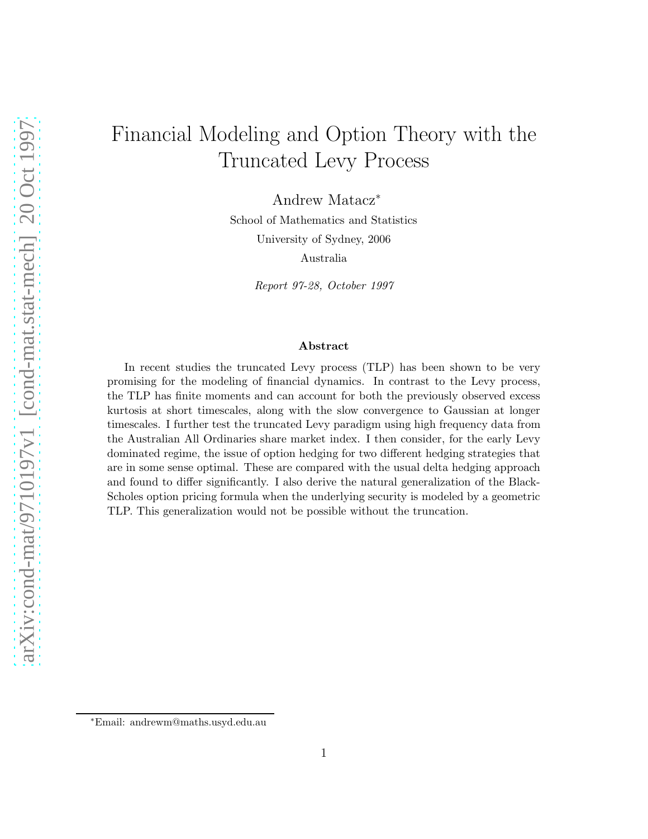# Financial Modeling and Option Theory with the Truncated Levy Process

Andrew Matacz<sup>∗</sup>

School of Mathematics and Statistics University of Sydney, 2006 Australia

Report 97-28, October 1997

#### Abstract

In recent studies the truncated Levy process (TLP) has been shown to be very promising for the modeling of financial dynamics. In contrast to the Levy process, the TLP has finite moments and can account for both the previously observed excess kurtosis at short timescales, along with the slow convergence to Gaussian at longer timescales. I further test the truncated Levy paradigm using high frequency data from the Australian All Ordinaries share market index. I then consider, for the early Levy dominated regime, the issue of option hedging for two different hedging strategies that are in some sense optimal. These are compared with the usual delta hedging approach and found to differ significantly. I also derive the natural generalization of the Black-Scholes option pricing formula when the underlying security is modeled by a geometric TLP. This generalization would not be possible without the truncation.

<sup>∗</sup>Email: andrewm@maths.usyd.edu.au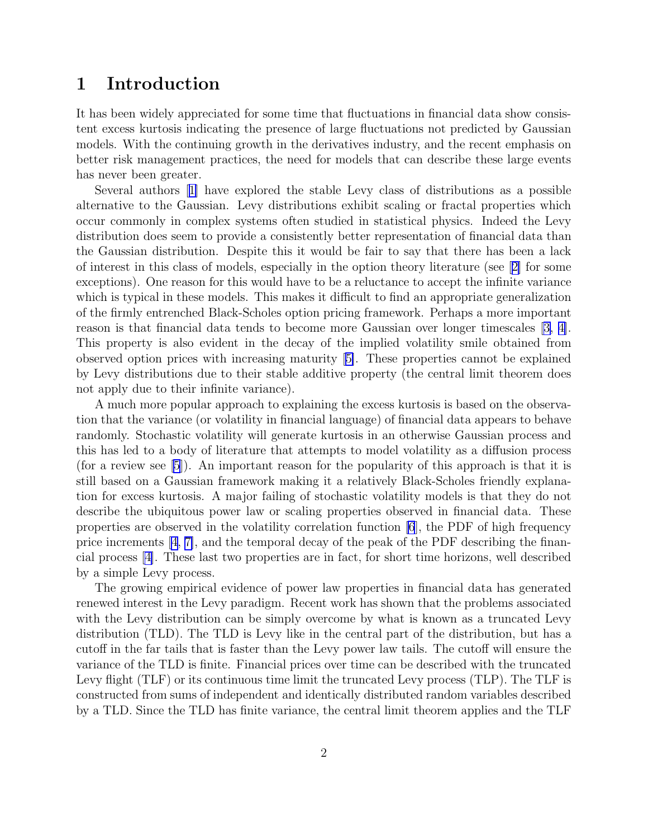### 1 Introduction

It has been widely appreciated for some time that fluctuations in financial data show consistent excess kurtosis indicating the presence of large fluctuations not predicted by Gaussian models. With the continuing growth in the derivatives industry, and the recent emphasis on better risk management practices, the need for models that can describe these large events has never been greater.

Several authors[[1\]](#page-16-0) have explored the stable Levy class of distributions as a possible alternative to the Gaussian. Levy distributions exhibit scaling or fractal properties which occur commonly in complex systems often studied in statistical physics. Indeed the Levy distribution does seem to provide a consistently better representation of financial data than the Gaussian distribution. Despite this it would be fair to say that there has been a lack of interest in this class of models, especially in the option theory literature (see[[2\]](#page-16-0) for some exceptions). One reason for this would have to be a reluctance to accept the infinite variance which is typical in these models. This makes it difficult to find an appropriate generalization of the firmly entrenched Black-Scholes option pricing framework. Perhaps a more important reason is that financial data tends to become more Gaussian over longer timescales[[3, 4\]](#page-16-0). This property is also evident in the decay of the implied volatility smile obtained from observed option prices with increasing maturity[[5\]](#page-16-0). These properties cannot be explained by Levy distributions due to their stable additive property (the central limit theorem does not apply due to their infinite variance).

A much more popular approach to explaining the excess kurtosis is based on the observation that the variance (or volatility in financial language) of financial data appears to behave randomly. Stochastic volatility will generate kurtosis in an otherwise Gaussian process and this has led to a body of literature that attempts to model volatility as a diffusion process (for a review see [\[5](#page-16-0)]). An important reason for the popularity of this approach is that it is still based on a Gaussian framework making it a relatively Black-Scholes friendly explanation for excess kurtosis. A major failing of stochastic volatility models is that they do not describe the ubiquitous power law or scaling properties observed in financial data. These properties are observed in the volatility correlation function [\[6](#page-16-0)], the PDF of high frequency price increments [\[4](#page-16-0), [7\]](#page-16-0), and the temporal decay of the peak of the PDF describing the financial process [\[4\]](#page-16-0). These last two properties are in fact, for short time horizons, well described by a simple Levy process.

The growing empirical evidence of power law properties in financial data has generated renewed interest in the Levy paradigm. Recent work has shown that the problems associated with the Levy distribution can be simply overcome by what is known as a truncated Levy distribution (TLD). The TLD is Levy like in the central part of the distribution, but has a cutoff in the far tails that is faster than the Levy power law tails. The cutoff will ensure the variance of the TLD is finite. Financial prices over time can be described with the truncated Levy flight (TLF) or its continuous time limit the truncated Levy process (TLP). The TLF is constructed from sums of independent and identically distributed random variables described by a TLD. Since the TLD has finite variance, the central limit theorem applies and the TLF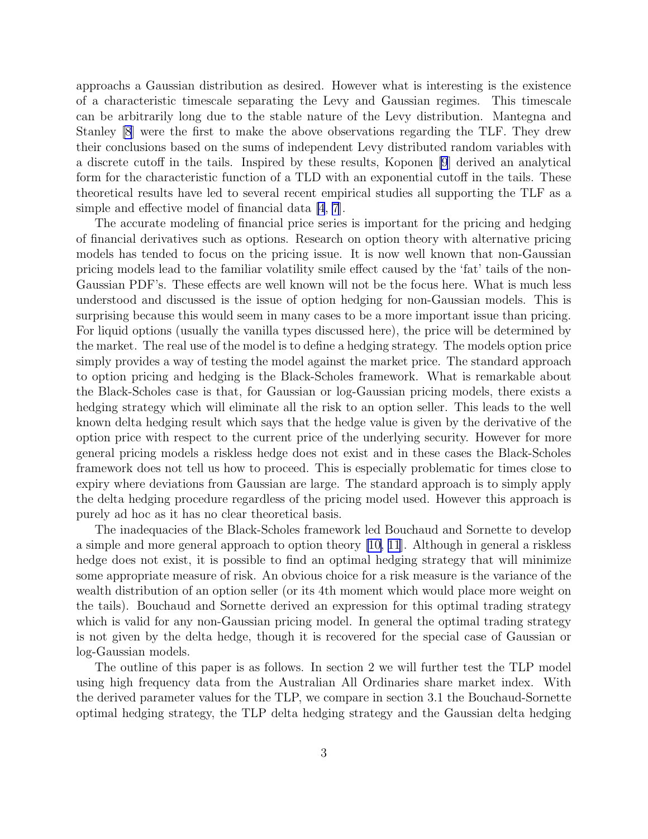approachs a Gaussian distribution as desired. However what is interesting is the existence of a characteristic timescale separating the Levy and Gaussian regimes. This timescale can be arbitrarily long due to the stable nature of the Levy distribution. Mantegna and Stanley [\[8](#page-17-0)] were the first to make the above observations regarding the TLF. They drew their conclusions based on the sums of independent Levy distributed random variables with a discrete cutoff in the tails. Inspired by these results, Koponen [\[9](#page-17-0)] derived an analytical form for the characteristic function of a TLD with an exponential cutoff in the tails. These theoretical results have led to several recent empirical studies all supporting the TLF as a simple and effective model of financial data [\[4](#page-16-0), [7](#page-16-0)].

The accurate modeling of financial price series is important for the pricing and hedging of financial derivatives such as options. Research on option theory with alternative pricing models has tended to focus on the pricing issue. It is now well known that non-Gaussian pricing models lead to the familiar volatility smile effect caused by the 'fat' tails of the non-Gaussian PDF's. These effects are well known will not be the focus here. What is much less understood and discussed is the issue of option hedging for non-Gaussian models. This is surprising because this would seem in many cases to be a more important issue than pricing. For liquid options (usually the vanilla types discussed here), the price will be determined by the market. The real use of the model is to define a hedging strategy. The models option price simply provides a way of testing the model against the market price. The standard approach to option pricing and hedging is the Black-Scholes framework. What is remarkable about the Black-Scholes case is that, for Gaussian or log-Gaussian pricing models, there exists a hedging strategy which will eliminate all the risk to an option seller. This leads to the well known delta hedging result which says that the hedge value is given by the derivative of the option price with respect to the current price of the underlying security. However for more general pricing models a riskless hedge does not exist and in these cases the Black-Scholes framework does not tell us how to proceed. This is especially problematic for times close to expiry where deviations from Gaussian are large. The standard approach is to simply apply the delta hedging procedure regardless of the pricing model used. However this approach is purely ad hoc as it has no clear theoretical basis.

The inadequacies of the Black-Scholes framework led Bouchaud and Sornette to develop a simple and more general approach to option theory [\[10, 11](#page-17-0)]. Although in general a riskless hedge does not exist, it is possible to find an optimal hedging strategy that will minimize some appropriate measure of risk. An obvious choice for a risk measure is the variance of the wealth distribution of an option seller (or its 4th moment which would place more weight on the tails). Bouchaud and Sornette derived an expression for this optimal trading strategy which is valid for any non-Gaussian pricing model. In general the optimal trading strategy is not given by the delta hedge, though it is recovered for the special case of Gaussian or log-Gaussian models.

The outline of this paper is as follows. In section 2 we will further test the TLP model using high frequency data from the Australian All Ordinaries share market index. With the derived parameter values for the TLP, we compare in section 3.1 the Bouchaud-Sornette optimal hedging strategy, the TLP delta hedging strategy and the Gaussian delta hedging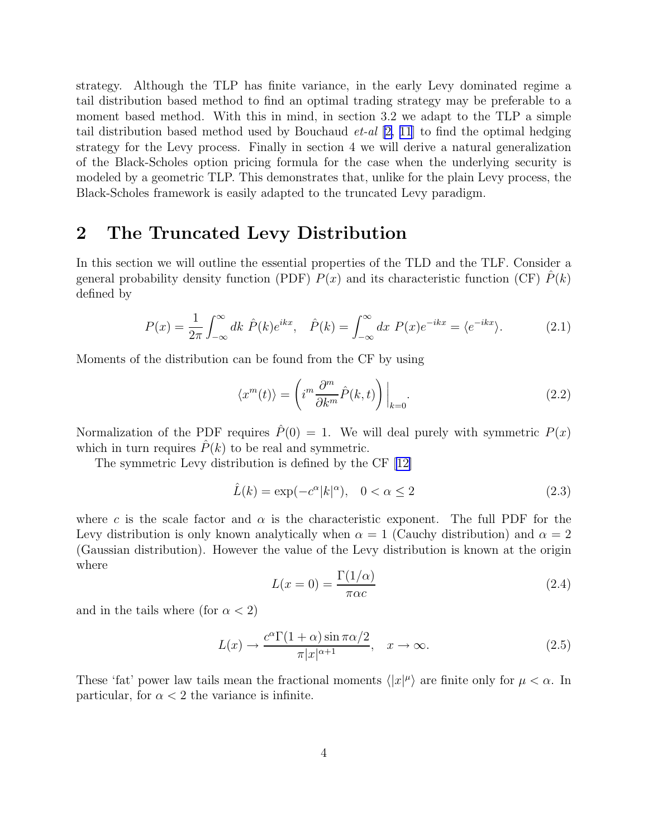strategy. Although the TLP has finite variance, in the early Levy dominated regime a tail distribution based method to find an optimal trading strategy may be preferable to a moment based method. With this in mind, in section 3.2 we adapt to the TLP a simple tail distribution based method used by Bouchaud  $et-al$  [[2,](#page-16-0) [11](#page-17-0)] to find the optimal hedging strategy for the Levy process. Finally in section 4 we will derive a natural generalization of the Black-Scholes option pricing formula for the case when the underlying security is modeled by a geometric TLP. This demonstrates that, unlike for the plain Levy process, the Black-Scholes framework is easily adapted to the truncated Levy paradigm.

### 2 The Truncated Levy Distribution

In this section we will outline the essential properties of the TLD and the TLF. Consider a general probability density function (PDF)  $P(x)$  and its characteristic function (CF)  $P(k)$ defined by

$$
P(x) = \frac{1}{2\pi} \int_{-\infty}^{\infty} dk \ \hat{P}(k) e^{ikx}, \quad \hat{P}(k) = \int_{-\infty}^{\infty} dx \ P(x) e^{-ikx} = \langle e^{-ikx} \rangle.
$$
 (2.1)

Moments of the distribution can be found from the CF by using

$$
\langle x^m(t)\rangle = \left(i^m \frac{\partial^m}{\partial k^m} \hat{P}(k,t)\right)\Big|_{k=0}.\tag{2.2}
$$

Normalization of the PDF requires  $\hat{P}(0) = 1$ . We will deal purely with symmetric  $P(x)$ which in turn requires  $P(k)$  to be real and symmetric.

The symmetric Levy distribution is defined by the CF[[12\]](#page-17-0)

$$
\hat{L}(k) = \exp(-c^{\alpha}|k|^{\alpha}), \quad 0 < \alpha \le 2
$$
\n(2.3)

where c is the scale factor and  $\alpha$  is the characteristic exponent. The full PDF for the Levy distribution is only known analytically when  $\alpha = 1$  (Cauchy distribution) and  $\alpha = 2$ (Gaussian distribution). However the value of the Levy distribution is known at the origin where

$$
L(x=0) = \frac{\Gamma(1/\alpha)}{\pi \alpha c} \tag{2.4}
$$

and in the tails where (for  $\alpha < 2$ )

$$
L(x) \to \frac{c^{\alpha} \Gamma(1+\alpha) \sin \pi \alpha/2}{\pi |x|^{\alpha+1}}, \quad x \to \infty.
$$
 (2.5)

These 'fat' power law tails mean the fractional moments  $\langle |x|^{\mu} \rangle$  are finite only for  $\mu < \alpha$ . In particular, for  $\alpha < 2$  the variance is infinite.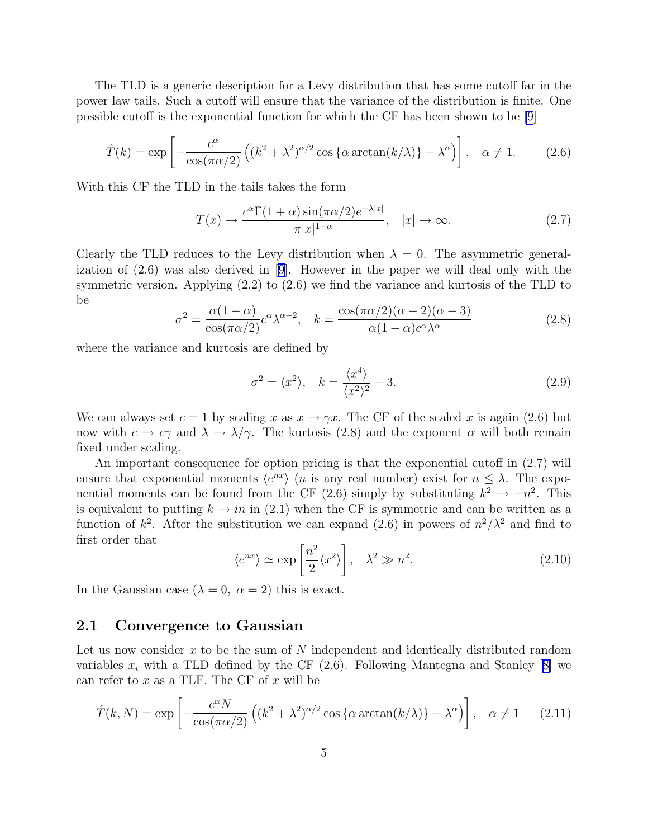The TLD is a generic description for a Levy distribution that has some cutoff far in the power law tails. Such a cutoff will ensure that the variance of the distribution is finite. One possible cutoff is the exponential function for which the CF has been shown to be [\[9](#page-17-0)]

$$
\hat{T}(k) = \exp\left[-\frac{c^{\alpha}}{\cos(\pi \alpha/2)} \left( (k^2 + \lambda^2)^{\alpha/2} \cos\left\{\alpha \arctan(k/\lambda)\right\} - \lambda^{\alpha} \right) \right], \quad \alpha \neq 1. \tag{2.6}
$$

With this CF the TLD in the tails takes the form

$$
T(x) \to \frac{c^{\alpha} \Gamma(1+\alpha) \sin(\pi \alpha/2) e^{-\lambda|x|}}{\pi |x|^{1+\alpha}}, \quad |x| \to \infty.
$$
 (2.7)

Clearly the TLD reduces to the Levy distribution when  $\lambda = 0$ . The asymmetric generalization of (2.6) was also derived in [\[9\]](#page-17-0). However in the paper we will deal only with the symmetric version. Applying (2.2) to (2.6) we find the variance and kurtosis of the TLD to be

$$
\sigma^2 = \frac{\alpha(1-\alpha)}{\cos(\pi \alpha/2)} c^{\alpha} \lambda^{\alpha-2}, \quad k = \frac{\cos(\pi \alpha/2)(\alpha-2)(\alpha-3)}{\alpha(1-\alpha)c^{\alpha} \lambda^{\alpha}}
$$
(2.8)

where the variance and kurtosis are defined by

$$
\sigma^2 = \langle x^2 \rangle, \quad k = \frac{\langle x^4 \rangle}{\langle x^2 \rangle^2} - 3. \tag{2.9}
$$

We can always set  $c = 1$  by scaling x as  $x \to \gamma x$ . The CF of the scaled x is again (2.6) but now with  $c \to c\gamma$  and  $\lambda \to \lambda/\gamma$ . The kurtosis (2.8) and the exponent  $\alpha$  will both remain fixed under scaling.

An important consequence for option pricing is that the exponential cutoff in (2.7) will ensure that exponential moments  $\langle e^{nx} \rangle$  (*n* is any real number) exist for  $n \leq \lambda$ . The exponential moments can be found from the CF (2.6) simply by substituting  $k^2 \to -n^2$ . This is equivalent to putting  $k \to in$  in (2.1) when the CF is symmetric and can be written as a function of  $k^2$ . After the substitution we can expand (2.6) in powers of  $n^2/\lambda^2$  and find to first order that

$$
\langle e^{nx} \rangle \simeq \exp\left[\frac{n^2}{2} \langle x^2 \rangle\right], \quad \lambda^2 \gg n^2. \tag{2.10}
$$

In the Gaussian case  $(\lambda = 0, \alpha = 2)$  this is exact.

#### 2.1 Convergence to Gaussian

Let us now consider  $x$  to be the sum of  $N$  independent and identically distributed random variables  $x_i$  with a TLD defined by the CF (2.6). Following Mantegna and Stanley [\[8\]](#page-17-0) we can refer to  $x$  as a TLF. The CF of  $x$  will be

$$
\hat{T}(k,N) = \exp\left[-\frac{c^{\alpha}N}{\cos(\pi\alpha/2)}\left((k^2+\lambda^2)^{\alpha/2}\cos\left\{\alpha\arctan(k/\lambda)\right\}-\lambda^{\alpha}\right)\right], \quad \alpha \neq 1 \qquad (2.11)
$$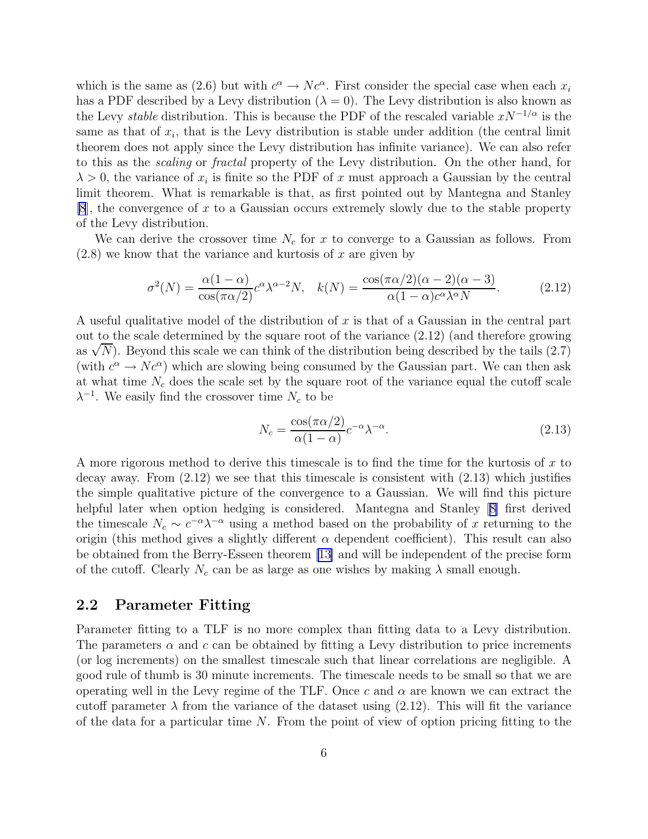which is the same as (2.6) but with  $c^{\alpha} \to Nc^{\alpha}$ . First consider the special case when each  $x_i$ has a PDF described by a Levy distribution  $(\lambda = 0)$ . The Levy distribution is also known as the Levy *stable* distribution. This is because the PDF of the rescaled variable  $xN^{-1/\alpha}$  is the same as that of  $x_i$ , that is the Levy distribution is stable under addition (the central limit theorem does not apply since the Levy distribution has infinite variance). We can also refer to this as the scaling or fractal property of the Levy distribution. On the other hand, for  $\lambda > 0$ , the variance of  $x_i$  is finite so the PDF of x must approach a Gaussian by the central limit theorem. What is remarkable is that, as first pointed out by Mantegna and Stanley [\[8](#page-17-0)], the convergence of x to a Gaussian occurs extremely slowly due to the stable property of the Levy distribution.

We can derive the crossover time  $N_c$  for x to converge to a Gaussian as follows. From  $(2.8)$  we know that the variance and kurtosis of x are given by

$$
\sigma^{2}(N) = \frac{\alpha(1-\alpha)}{\cos(\pi\alpha/2)}c^{\alpha}\lambda^{\alpha-2}N, \quad k(N) = \frac{\cos(\pi\alpha/2)(\alpha-2)(\alpha-3)}{\alpha(1-\alpha)c^{\alpha}\lambda^{\alpha}N}.
$$
 (2.12)

A useful qualitative model of the distribution of  $x$  is that of a Gaussian in the central part out to the scale determined by the square root of the variance (2.12) (and therefore growing as  $\sqrt{N}$ ). Beyond this scale we can think of the distribution being described by the tails (2.7) (with  $c^{\alpha} \to Nc^{\alpha}$ ) which are slowing being consumed by the Gaussian part. We can then ask at what time  $N_c$  does the scale set by the square root of the variance equal the cutoff scale  $\lambda^{-1}$ . We easily find the crossover time  $N_c$  to be

$$
N_c = \frac{\cos(\pi \alpha/2)}{\alpha(1-\alpha)} c^{-\alpha} \lambda^{-\alpha}.
$$
\n(2.13)

A more rigorous method to derive this timescale is to find the time for the kurtosis of  $x$  to decay away. From  $(2.12)$  we see that this timescale is consistent with  $(2.13)$  which justifies the simple qualitative picture of the convergence to a Gaussian. We will find this picture helpfullater when option hedging is considered. Mantegna and Stanley [[8\]](#page-17-0) first derived the timescale  $N_c \sim c^{-\alpha} \lambda^{-\alpha}$  using a method based on the probability of x returning to the origin (this method gives a slightly different  $\alpha$  dependent coefficient). This result can also be obtained from the Berry-Esseen theorem [\[13\]](#page-17-0) and will be independent of the precise form of the cutoff. Clearly  $N_c$  can be as large as one wishes by making  $\lambda$  small enough.

#### 2.2 Parameter Fitting

Parameter fitting to a TLF is no more complex than fitting data to a Levy distribution. The parameters  $\alpha$  and c can be obtained by fitting a Levy distribution to price increments (or log increments) on the smallest timescale such that linear correlations are negligible. A good rule of thumb is 30 minute increments. The timescale needs to be small so that we are operating well in the Levy regime of the TLF. Once c and  $\alpha$  are known we can extract the cutoff parameter  $\lambda$  from the variance of the dataset using (2.12). This will fit the variance of the data for a particular time N. From the point of view of option pricing fitting to the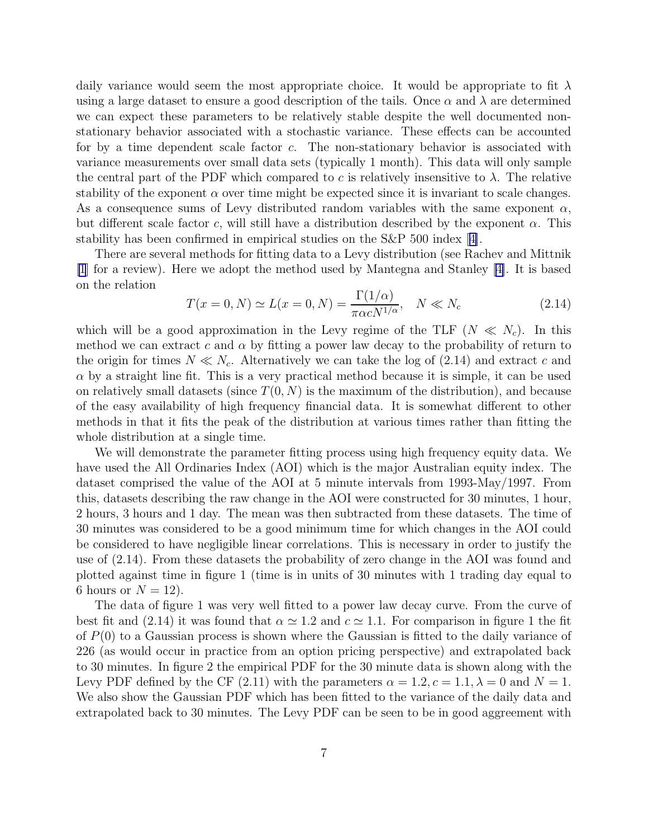daily variance would seem the most appropriate choice. It would be appropriate to fit  $\lambda$ using a large dataset to ensure a good description of the tails. Once  $\alpha$  and  $\lambda$  are determined we can expect these parameters to be relatively stable despite the well documented nonstationary behavior associated with a stochastic variance. These effects can be accounted for by a time dependent scale factor c. The non-stationary behavior is associated with variance measurements over small data sets (typically 1 month). This data will only sample the central part of the PDF which compared to c is relatively insensitive to  $\lambda$ . The relative stability of the exponent  $\alpha$  over time might be expected since it is invariant to scale changes. As a consequence sums of Levy distributed random variables with the same exponent  $\alpha$ , but different scale factor c, will still have a distribution described by the exponent  $\alpha$ . This stability has been confirmed in empirical studies on the S&P 500 index[[4\]](#page-16-0).

There are several methods for fitting data to a Levy distribution (see Rachev and Mittnik [\[1](#page-16-0)] for a review). Here we adopt the method used by Mantegna and Stanley[[4\]](#page-16-0). It is based on the relation

$$
T(x = 0, N) \simeq L(x = 0, N) = \frac{\Gamma(1/\alpha)}{\pi \alpha c N^{1/\alpha}}, \quad N \ll N_c
$$
 (2.14)

which will be a good approximation in the Levy regime of the TLF ( $N \ll N_c$ ). In this method we can extract c and  $\alpha$  by fitting a power law decay to the probability of return to the origin for times  $N \ll N_c$ . Alternatively we can take the log of (2.14) and extract c and  $\alpha$  by a straight line fit. This is a very practical method because it is simple, it can be used on relatively small datasets (since  $T(0, N)$  is the maximum of the distribution), and because of the easy availability of high frequency financial data. It is somewhat different to other methods in that it fits the peak of the distribution at various times rather than fitting the whole distribution at a single time.

We will demonstrate the parameter fitting process using high frequency equity data. We have used the All Ordinaries Index (AOI) which is the major Australian equity index. The dataset comprised the value of the AOI at 5 minute intervals from 1993-May/1997. From this, datasets describing the raw change in the AOI were constructed for 30 minutes, 1 hour, 2 hours, 3 hours and 1 day. The mean was then subtracted from these datasets. The time of 30 minutes was considered to be a good minimum time for which changes in the AOI could be considered to have negligible linear correlations. This is necessary in order to justify the use of (2.14). From these datasets the probability of zero change in the AOI was found and plotted against time in figure 1 (time is in units of 30 minutes with 1 trading day equal to 6 hours or  $N = 12$ ).

The data of figure 1 was very well fitted to a power law decay curve. From the curve of best fit and (2.14) it was found that  $\alpha \simeq 1.2$  and  $c \simeq 1.1$ . For comparison in figure 1 the fit of  $P(0)$  to a Gaussian process is shown where the Gaussian is fitted to the daily variance of 226 (as would occur in practice from an option pricing perspective) and extrapolated back to 30 minutes. In figure 2 the empirical PDF for the 30 minute data is shown along with the Levy PDF defined by the CF (2.11) with the parameters  $\alpha = 1.2, c = 1.1, \lambda = 0$  and  $N = 1$ . We also show the Gaussian PDF which has been fitted to the variance of the daily data and extrapolated back to 30 minutes. The Levy PDF can be seen to be in good aggreement with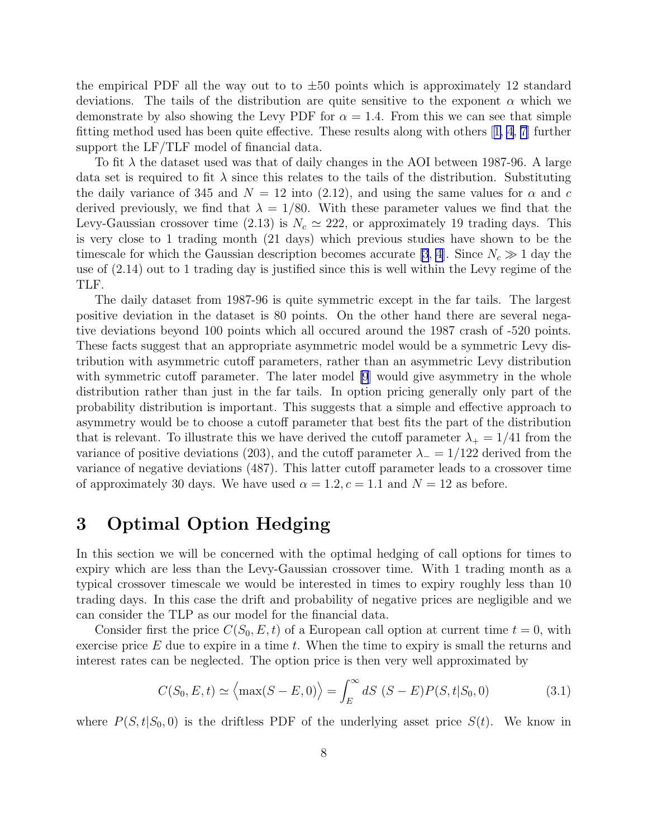the empirical PDF all the way out to to  $\pm 50$  points which is approximately 12 standard deviations. The tails of the distribution are quite sensitive to the exponent  $\alpha$  which we demonstrate by also showing the Levy PDF for  $\alpha = 1.4$ . From this we can see that simple fittingmethod used has been quite effective. These results along with others  $[1, 4, 7]$  $[1, 4, 7]$  $[1, 4, 7]$  $[1, 4, 7]$  further support the LF/TLF model of financial data.

To fit  $\lambda$  the dataset used was that of daily changes in the AOI between 1987-96. A large data set is required to fit  $\lambda$  since this relates to the tails of the distribution. Substituting the daily variance of 345 and  $N = 12$  into (2.12), and using the same values for  $\alpha$  and  $c$ derived previously, we find that  $\lambda = 1/80$ . With these parameter values we find that the Levy-Gaussian crossover time (2.13) is  $N_c \simeq 222$ , or approximately 19 trading days. This is very close to 1 trading month (21 days) which previous studies have shown to be the timescale for which the Gaussian description becomes accurate [\[3](#page-16-0), [4](#page-16-0)]. Since  $N_c \gg 1$  day the use of (2.14) out to 1 trading day is justified since this is well within the Levy regime of the TLF.

The daily dataset from 1987-96 is quite symmetric except in the far tails. The largest positive deviation in the dataset is 80 points. On the other hand there are several negative deviations beyond 100 points which all occured around the 1987 crash of -520 points. These facts suggest that an appropriate asymmetric model would be a symmetric Levy distribution with asymmetric cutoff parameters, rather than an asymmetric Levy distribution with symmetric cutoff parameter. The later model [\[9](#page-17-0)] would give asymmetry in the whole distribution rather than just in the far tails. In option pricing generally only part of the probability distribution is important. This suggests that a simple and effective approach to asymmetry would be to choose a cutoff parameter that best fits the part of the distribution that is relevant. To illustrate this we have derived the cutoff parameter  $\lambda_+ = 1/41$  from the variance of positive deviations (203), and the cutoff parameter  $\lambda = 1/122$  derived from the variance of negative deviations (487). This latter cutoff parameter leads to a crossover time of approximately 30 days. We have used  $\alpha = 1.2, c = 1.1$  and  $N = 12$  as before.

### 3 Optimal Option Hedging

In this section we will be concerned with the optimal hedging of call options for times to expiry which are less than the Levy-Gaussian crossover time. With 1 trading month as a typical crossover timescale we would be interested in times to expiry roughly less than 10 trading days. In this case the drift and probability of negative prices are negligible and we can consider the TLP as our model for the financial data.

Consider first the price  $C(S_0, E, t)$  of a European call option at current time  $t = 0$ , with exercise price  $E$  due to expire in a time  $t$ . When the time to expiry is small the returns and interest rates can be neglected. The option price is then very well approximated by

$$
C(S_0, E, t) \simeq \left\langle \max(S - E, 0) \right\rangle = \int_E^{\infty} dS \, (S - E) P(S, t | S_0, 0) \tag{3.1}
$$

where  $P(S, t|S_0, 0)$  is the driftless PDF of the underlying asset price  $S(t)$ . We know in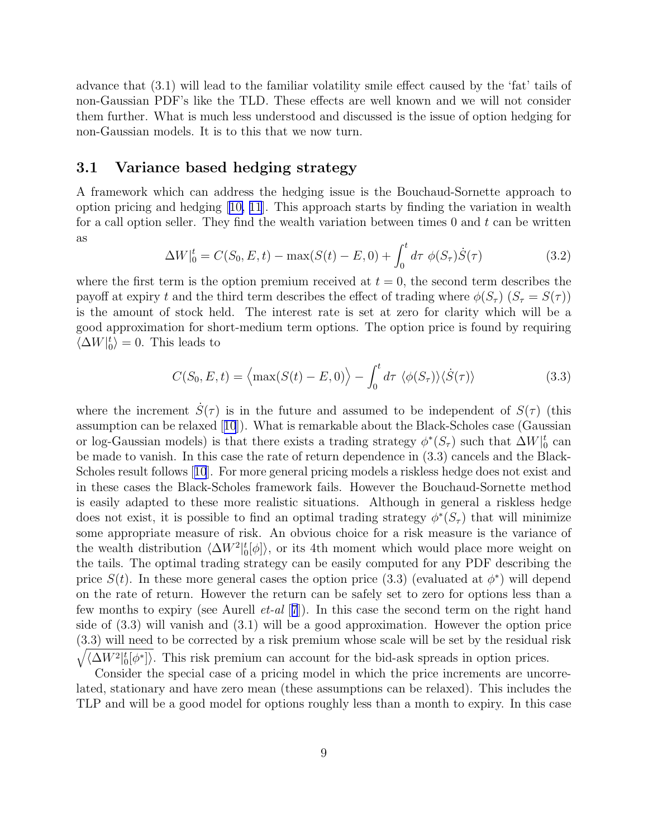advance that (3.1) will lead to the familiar volatility smile effect caused by the 'fat' tails of non-Gaussian PDF's like the TLD. These effects are well known and we will not consider them further. What is much less understood and discussed is the issue of option hedging for non-Gaussian models. It is to this that we now turn.

#### 3.1 Variance based hedging strategy

A framework which can address the hedging issue is the Bouchaud-Sornette approach to option pricing and hedging[[10, 11](#page-17-0)]. This approach starts by finding the variation in wealth for a call option seller. They find the wealth variation between times  $0$  and  $t$  can be written as

$$
\Delta W_0^t = C(S_0, E, t) - \max(S(t) - E, 0) + \int_0^t d\tau \ \phi(S_\tau) \dot{S}(\tau) \tag{3.2}
$$

where the first term is the option premium received at  $t = 0$ , the second term describes the payoff at expiry t and the third term describes the effect of trading where  $\phi(S_\tau)$   $(S_\tau = S(\tau))$ is the amount of stock held. The interest rate is set at zero for clarity which will be a good approximation for short-medium term options. The option price is found by requiring  $\langle \Delta W|_0^t \rangle = 0$ . This leads to

$$
C(S_0, E, t) = \left\langle \max(S(t) - E, 0) \right\rangle - \int_0^t d\tau \, \left\langle \phi(S_\tau) \right\rangle \langle \dot{S}(\tau) \rangle \tag{3.3}
$$

where the increment  $S(\tau)$  is in the future and assumed to be independent of  $S(\tau)$  (this assumption can be relaxed[[10](#page-17-0)]). What is remarkable about the Black-Scholes case (Gaussian or log-Gaussian models) is that there exists a trading strategy  $\phi^*(S_\tau)$  such that  $\Delta W|^t_0$  can be made to vanish. In this case the rate of return dependence in (3.3) cancels and the Black-Scholes result follows[[10](#page-17-0)]. For more general pricing models a riskless hedge does not exist and in these cases the Black-Scholes framework fails. However the Bouchaud-Sornette method is easily adapted to these more realistic situations. Although in general a riskless hedge does not exist, it is possible to find an optimal trading strategy  $\phi^*(S_\tau)$  that will minimize some appropriate measure of risk. An obvious choice for a risk measure is the variance of the wealth distribution  $\langle \Delta W^2 |_0^t [\phi] \rangle$ , or its 4th moment which would place more weight on the tails. The optimal trading strategy can be easily computed for any PDF describing the price  $S(t)$ . In these more general cases the option price (3.3) (evaluated at  $\phi^*$ ) will depend on the rate of return. However the return can be safely set to zero for options less than a few months to expiry (see Aurell et-al [[7](#page-16-0)]). In this case the second term on the right hand side of (3.3) will vanish and (3.1) will be a good approximation. However the option price (3.3) will need to be corrected by a risk premium whose scale w  $\frac{1}{2}$ ill be set by the residual risk  $\langle \Delta W^2 |_0^t [\phi^*] \rangle$ . This risk premium can account for the bid-ask spreads in option prices.

Consider the special case of a pricing model in which the price increments are uncorrelated, stationary and have zero mean (these assumptions can be relaxed). This includes the TLP and will be a good model for options roughly less than a month to expiry. In this case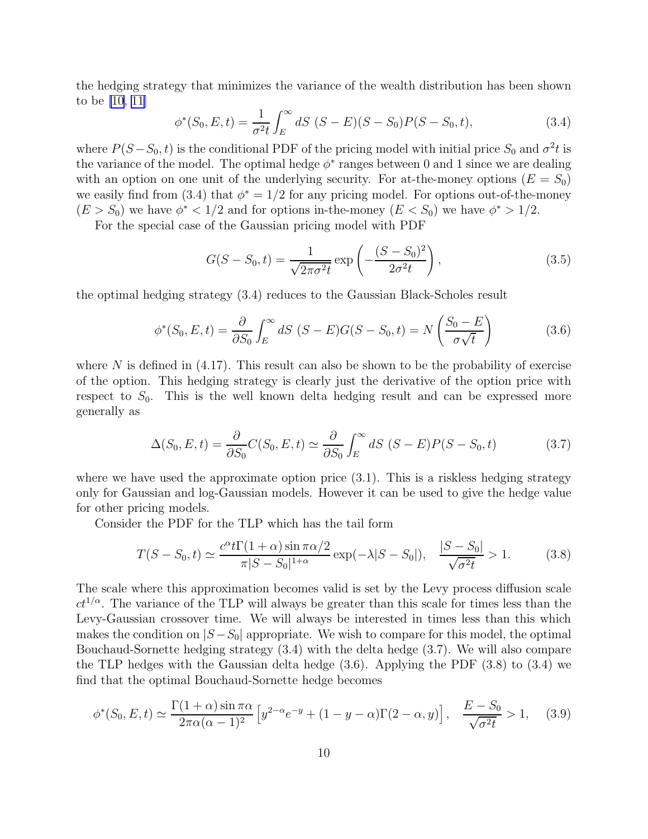the hedging strategy that minimizes the variance of the wealth distribution has been shown to be [\[10](#page-17-0), [11](#page-17-0)]

$$
\phi^*(S_0, E, t) = \frac{1}{\sigma^2 t} \int_E^{\infty} dS \ (S - E)(S - S_0) P(S - S_0, t), \tag{3.4}
$$

where  $P(S-S_0, t)$  is the conditional PDF of the pricing model with initial price  $S_0$  and  $\sigma^2 t$  is the variance of the model. The optimal hedge  $\phi^*$  ranges between 0 and 1 since we are dealing with an option on one unit of the underlying security. For at-the-money options  $(E = S_0)$ we easily find from (3.4) that  $\phi^* = 1/2$  for any pricing model. For options out-of-the-money  $(E > S_0)$  we have  $\phi^* < 1/2$  and for options in-the-money  $(E < S_0)$  we have  $\phi^* > 1/2$ .

For the special case of the Gaussian pricing model with PDF

$$
G(S - S_0, t) = \frac{1}{\sqrt{2\pi\sigma^2 t}} \exp\left(-\frac{(S - S_0)^2}{2\sigma^2 t}\right),
$$
\n(3.5)

the optimal hedging strategy (3.4) reduces to the Gaussian Black-Scholes result

$$
\phi^*(S_0, E, t) = \frac{\partial}{\partial S_0} \int_E^{\infty} dS \ (S - E) G(S - S_0, t) = N \left( \frac{S_0 - E}{\sigma \sqrt{t}} \right) \tag{3.6}
$$

where N is defined in  $(4.17)$ . This result can also be shown to be the probability of exercise of the option. This hedging strategy is clearly just the derivative of the option price with respect to  $S_0$ . This is the well known delta hedging result and can be expressed more generally as

$$
\Delta(S_0, E, t) = \frac{\partial}{\partial S_0} C(S_0, E, t) \simeq \frac{\partial}{\partial S_0} \int_E^{\infty} dS \ (S - E) P(S - S_0, t)
$$
\n(3.7)

where we have used the approximate option price  $(3.1)$ . This is a riskless hedging strategy only for Gaussian and log-Gaussian models. However it can be used to give the hedge value for other pricing models.

Consider the PDF for the TLP which has the tail form

$$
T(S - S_0, t) \simeq \frac{c^{\alpha} t \Gamma(1 + \alpha) \sin \pi \alpha / 2}{\pi |S - S_0|^{1 + \alpha}} \exp(-\lambda |S - S_0|), \quad \frac{|S - S_0|}{\sqrt{\sigma^2 t}} > 1. \tag{3.8}
$$

The scale where this approximation becomes valid is set by the Levy process diffusion scale  $ct^{1/\alpha}$ . The variance of the TLP will always be greater than this scale for times less than the Levy-Gaussian crossover time. We will always be interested in times less than this which makes the condition on  $|S-S_0|$  appropriate. We wish to compare for this model, the optimal Bouchaud-Sornette hedging strategy (3.4) with the delta hedge (3.7). We will also compare the TLP hedges with the Gaussian delta hedge (3.6). Applying the PDF (3.8) to (3.4) we find that the optimal Bouchaud-Sornette hedge becomes

$$
\phi^*(S_0, E, t) \simeq \frac{\Gamma(1+\alpha)\sin\pi\alpha}{2\pi\alpha(\alpha-1)^2} \left[ y^{2-\alpha}e^{-y} + (1-y-\alpha)\Gamma(2-\alpha, y) \right], \quad \frac{E-S_0}{\sqrt{\sigma^2 t}} > 1,\tag{3.9}
$$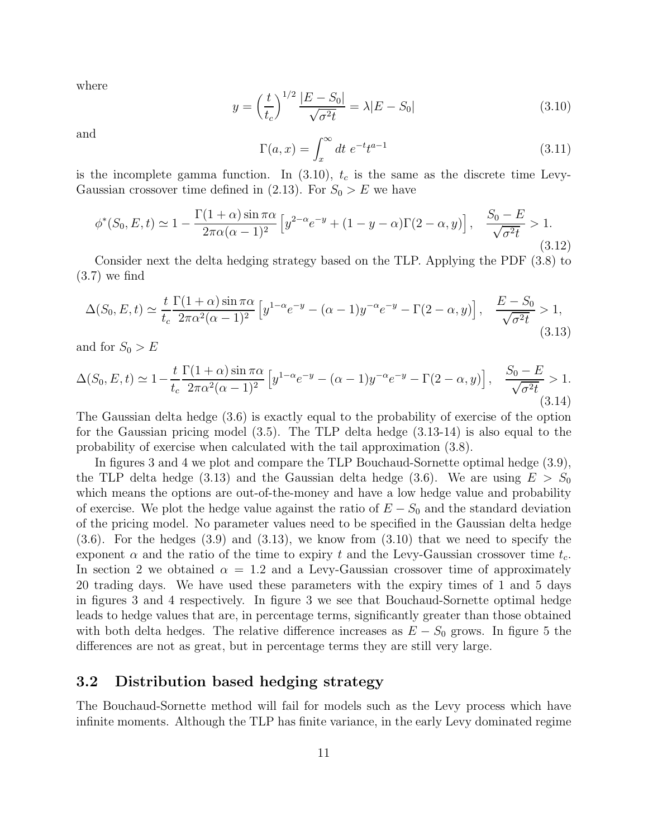where

$$
y = \left(\frac{t}{t_c}\right)^{1/2} \frac{|E - S_0|}{\sqrt{\sigma^2 t}} = \lambda |E - S_0| \tag{3.10}
$$

and

$$
\Gamma(a,x) = \int_{x}^{\infty} dt \ e^{-t} t^{a-1}
$$
\n(3.11)

is the incomplete gamma function. In (3.10),  $t_c$  is the same as the discrete time Levy-Gaussian crossover time defined in (2.13). For  $S_0 > E$  we have

$$
\phi^*(S_0, E, t) \simeq 1 - \frac{\Gamma(1+\alpha)\sin\pi\alpha}{2\pi\alpha(\alpha-1)^2} \left[ y^{2-\alpha} e^{-y} + (1-y-\alpha)\Gamma(2-\alpha, y) \right], \quad \frac{S_0 - E}{\sqrt{\sigma^2 t}} > 1.
$$
\n(3.12)

Consider next the delta hedging strategy based on the TLP. Applying the PDF (3.8) to (3.7) we find

$$
\Delta(S_0, E, t) \simeq \frac{t}{t_c} \frac{\Gamma(1+\alpha)\sin\pi\alpha}{2\pi\alpha^2(\alpha-1)^2} \left[ y^{1-\alpha}e^{-y} - (\alpha-1)y^{-\alpha}e^{-y} - \Gamma(2-\alpha,y) \right], \quad \frac{E-S_0}{\sqrt{\sigma^2 t}} > 1,
$$
\n(3.13)

and for  $S_0 > E$ 

$$
\Delta(S_0, E, t) \simeq 1 - \frac{t}{t_c} \frac{\Gamma(1+\alpha)\sin \pi \alpha}{2\pi \alpha^2 (\alpha - 1)^2} \left[ y^{1-\alpha} e^{-y} - (\alpha - 1)y^{-\alpha} e^{-y} - \Gamma(2 - \alpha, y) \right], \quad \frac{S_0 - E}{\sqrt{\sigma^2 t}} > 1.
$$
\n(3.14)

The Gaussian delta hedge (3.6) is exactly equal to the probability of exercise of the option for the Gaussian pricing model (3.5). The TLP delta hedge (3.13-14) is also equal to the probability of exercise when calculated with the tail approximation (3.8).

In figures 3 and 4 we plot and compare the TLP Bouchaud-Sornette optimal hedge (3.9), the TLP delta hedge (3.13) and the Gaussian delta hedge (3.6). We are using  $E > S_0$ which means the options are out-of-the-money and have a low hedge value and probability of exercise. We plot the hedge value against the ratio of  $E - S_0$  and the standard deviation of the pricing model. No parameter values need to be specified in the Gaussian delta hedge  $(3.6)$ . For the hedges  $(3.9)$  and  $(3.13)$ , we know from  $(3.10)$  that we need to specify the exponent  $\alpha$  and the ratio of the time to expiry t and the Levy-Gaussian crossover time  $t_c$ . In section 2 we obtained  $\alpha = 1.2$  and a Levy-Gaussian crossover time of approximately 20 trading days. We have used these parameters with the expiry times of 1 and 5 days in figures 3 and 4 respectively. In figure 3 we see that Bouchaud-Sornette optimal hedge leads to hedge values that are, in percentage terms, significantly greater than those obtained with both delta hedges. The relative difference increases as  $E - S_0$  grows. In figure 5 the differences are not as great, but in percentage terms they are still very large.

#### 3.2 Distribution based hedging strategy

The Bouchaud-Sornette method will fail for models such as the Levy process which have infinite moments. Although the TLP has finite variance, in the early Levy dominated regime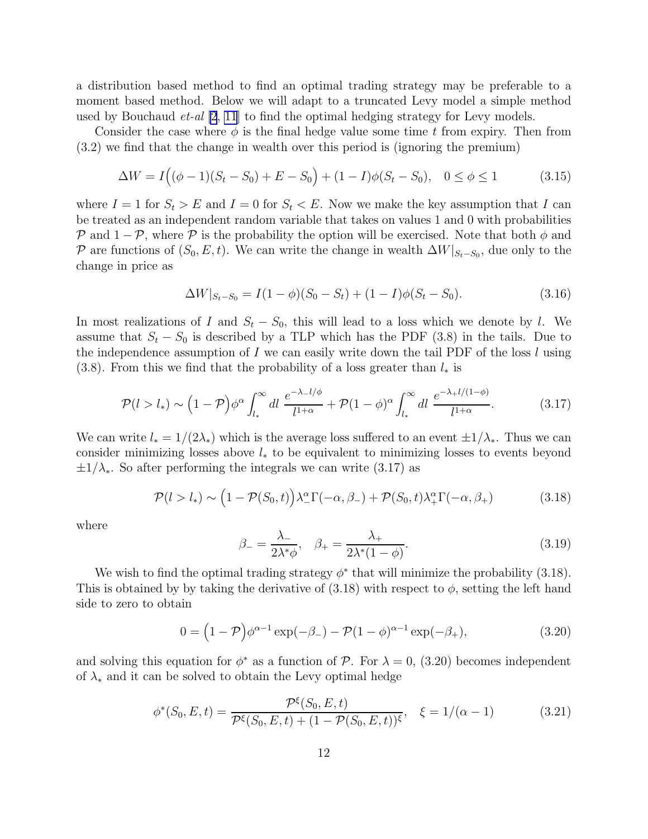a distribution based method to find an optimal trading strategy may be preferable to a moment based method. Below we will adapt to a truncated Levy model a simple method used by Bouchaud  $et-al [2, 11]$  $et-al [2, 11]$  $et-al [2, 11]$  $et-al [2, 11]$  $et-al [2, 11]$  to find the optimal hedging strategy for Levy models.

Consider the case where  $\phi$  is the final hedge value some time t from expiry. Then from (3.2) we find that the change in wealth over this period is (ignoring the premium)

$$
\Delta W = I((\phi - 1)(S_t - S_0) + E - S_0) + (1 - I)\phi(S_t - S_0), \quad 0 \le \phi \le 1
$$
\n(3.15)

where  $I = 1$  for  $S_t > E$  and  $I = 0$  for  $S_t < E$ . Now we make the key assumption that I can be treated as an independent random variable that takes on values 1 and 0 with probabilities P and  $1 - \mathcal{P}$ , where P is the probability the option will be exercised. Note that both  $\phi$  and P are functions of  $(S_0, E, t)$ . We can write the change in wealth  $\Delta W|_{S_t-S_0}$ , due only to the change in price as

$$
\Delta W|_{S_t - S_0} = I(1 - \phi)(S_0 - S_t) + (1 - I)\phi(S_t - S_0). \tag{3.16}
$$

In most realizations of I and  $S_t - S_0$ , this will lead to a loss which we denote by l. We assume that  $S_t - S_0$  is described by a TLP which has the PDF (3.8) in the tails. Due to the independence assumption of I we can easily write down the tail PDF of the loss  $l$  using (3.8). From this we find that the probability of a loss greater than  $l_*$  is

$$
\mathcal{P}(l > l_*) \sim \left(1 - \mathcal{P}\right) \phi^{\alpha} \int_{l_*}^{\infty} dl \frac{e^{-\lambda - l/\phi}}{l^{1+\alpha}} + \mathcal{P}(1 - \phi)^{\alpha} \int_{l_*}^{\infty} dl \frac{e^{-\lambda + l/(1-\phi)}}{l^{1+\alpha}}.
$$
 (3.17)

We can write  $l_* = 1/(2\lambda_*)$  which is the average loss suffered to an event  $\pm 1/\lambda_*$ . Thus we can consider minimizing losses above  $l_*$  to be equivalent to minimizing losses to events beyond  $\pm 1/\lambda_*$ . So after performing the integrals we can write (3.17) as

$$
\mathcal{P}(l > l_*) \sim \left(1 - \mathcal{P}(S_0, t)\right) \lambda^{\alpha}_{-} \Gamma(-\alpha, \beta_{-}) + \mathcal{P}(S_0, t) \lambda^{\alpha}_{+} \Gamma(-\alpha, \beta_{+}) \tag{3.18}
$$

where

$$
\beta_- = \frac{\lambda_-}{2\lambda^*\phi}, \quad \beta_+ = \frac{\lambda_+}{2\lambda^*(1-\phi)}.
$$
\n(3.19)

We wish to find the optimal trading strategy  $\phi^*$  that will minimize the probability (3.18). This is obtained by by taking the derivative of  $(3.18)$  with respect to  $\phi$ , setting the left hand side to zero to obtain

$$
0 = (1 - P)\phi^{\alpha - 1} \exp(-\beta_{-}) - P(1 - \phi)^{\alpha - 1} \exp(-\beta_{+}),
$$
\n(3.20)

and solving this equation for  $\phi^*$  as a function of  $\mathcal{P}$ . For  $\lambda = 0$ , (3.20) becomes independent of  $\lambda_*$  and it can be solved to obtain the Levy optimal hedge

$$
\phi^*(S_0, E, t) = \frac{\mathcal{P}^{\xi}(S_0, E, t)}{\mathcal{P}^{\xi}(S_0, E, t) + (1 - \mathcal{P}(S_0, E, t))^{\xi}}, \quad \xi = 1/(\alpha - 1)
$$
(3.21)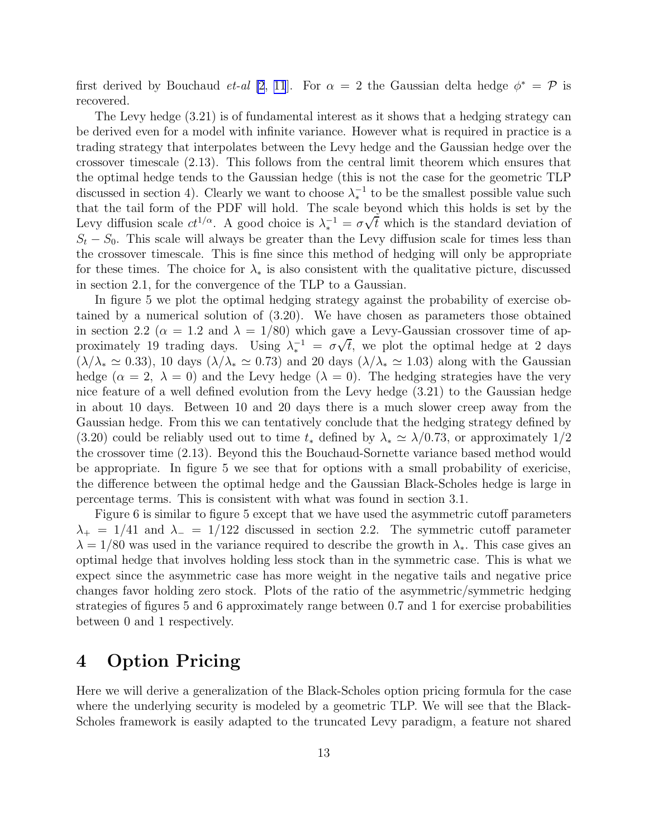first derived by Bouchaud *et-al* [\[2](#page-16-0), [11](#page-17-0)]. For  $\alpha = 2$  the Gaussian delta hedge  $\phi^* = \mathcal{P}$  is recovered.

The Levy hedge (3.21) is of fundamental interest as it shows that a hedging strategy can be derived even for a model with infinite variance. However what is required in practice is a trading strategy that interpolates between the Levy hedge and the Gaussian hedge over the crossover timescale (2.13). This follows from the central limit theorem which ensures that the optimal hedge tends to the Gaussian hedge (this is not the case for the geometric TLP discussed in section 4). Clearly we want to choose  $\lambda_*^{-1}$  to be the smallest possible value such that the tail form of the PDF will hold. The scale beyond which this holds is set by the Levy diffusion scale  $ct^{1/\alpha}$ . A good choice is  $\lambda_*^{-1} = \sigma \sqrt{t}$  which is the standard deviation of  $S_t - S_0$ . This scale will always be greater than the Levy diffusion scale for times less than the crossover timescale. This is fine since this method of hedging will only be appropriate for these times. The choice for  $\lambda_*$  is also consistent with the qualitative picture, discussed in section 2.1, for the convergence of the TLP to a Gaussian.

In figure 5 we plot the optimal hedging strategy against the probability of exercise obtained by a numerical solution of (3.20). We have chosen as parameters those obtained in section 2.2 ( $\alpha = 1.2$  and  $\lambda = 1/80$ ) which gave a Levy-Gaussian crossover time of approximately 19 trading days. Using  $\lambda_*^{-1} = \sigma \sqrt{t}$ , we plot the optimal hedge at 2 days  $(\lambda/\lambda_* \simeq 0.33)$ , 10 days  $(\lambda/\lambda_* \simeq 0.73)$  and 20 days  $(\lambda/\lambda_* \simeq 1.03)$  along with the Gaussian hedge ( $\alpha = 2$ ,  $\lambda = 0$ ) and the Levy hedge ( $\lambda = 0$ ). The hedging strategies have the very nice feature of a well defined evolution from the Levy hedge (3.21) to the Gaussian hedge in about 10 days. Between 10 and 20 days there is a much slower creep away from the Gaussian hedge. From this we can tentatively conclude that the hedging strategy defined by (3.20) could be reliably used out to time  $t_*$  defined by  $\lambda_* \simeq \lambda/0.73$ , or approximately 1/2 the crossover time (2.13). Beyond this the Bouchaud-Sornette variance based method would be appropriate. In figure 5 we see that for options with a small probability of exericise, the difference between the optimal hedge and the Gaussian Black-Scholes hedge is large in percentage terms. This is consistent with what was found in section 3.1.

Figure 6 is similar to figure 5 except that we have used the asymmetric cutoff parameters  $\lambda_+ = 1/41$  and  $\lambda_- = 1/122$  discussed in section 2.2. The symmetric cutoff parameter  $\lambda = 1/80$  was used in the variance required to describe the growth in  $\lambda_{*}$ . This case gives an optimal hedge that involves holding less stock than in the symmetric case. This is what we expect since the asymmetric case has more weight in the negative tails and negative price changes favor holding zero stock. Plots of the ratio of the asymmetric/symmetric hedging strategies of figures 5 and 6 approximately range between 0.7 and 1 for exercise probabilities between 0 and 1 respectively.

## 4 Option Pricing

Here we will derive a generalization of the Black-Scholes option pricing formula for the case where the underlying security is modeled by a geometric TLP. We will see that the Black-Scholes framework is easily adapted to the truncated Levy paradigm, a feature not shared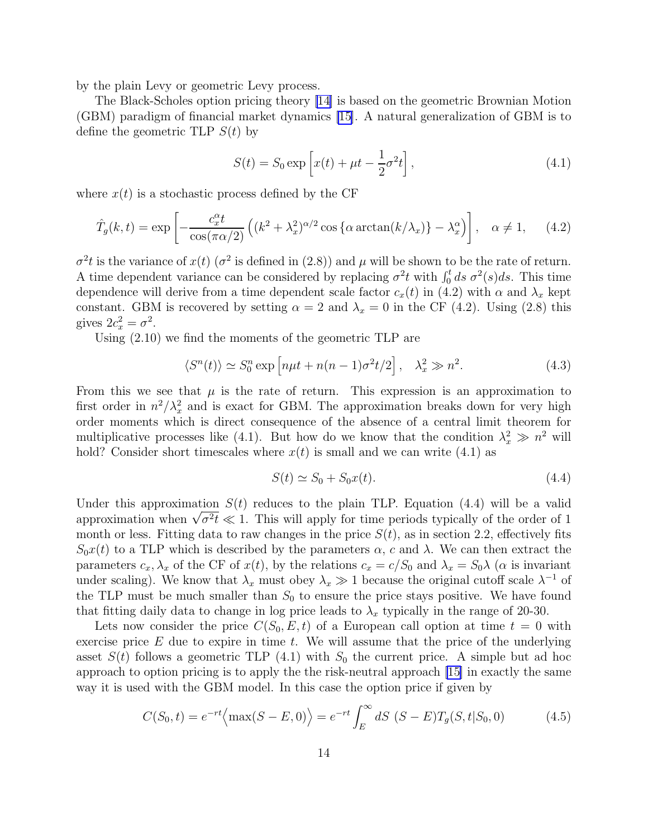by the plain Levy or geometric Levy process.

The Black-Scholes option pricing theory [\[14\]](#page-17-0) is based on the geometric Brownian Motion (GBM) paradigm of financial market dynamics [\[15\]](#page-17-0). A natural generalization of GBM is to define the geometric TLP  $S(t)$  by

$$
S(t) = S_0 \exp\left[x(t) + \mu t - \frac{1}{2}\sigma^2 t\right],
$$
\n(4.1)

where  $x(t)$  is a stochastic process defined by the CF

$$
\hat{T}_g(k,t) = \exp\left[-\frac{c_x^{\alpha}t}{\cos(\pi\alpha/2)}\left((k^2 + \lambda_x^2)^{\alpha/2}\cos\left\{\alpha\arctan(k/\lambda_x)\right\} - \lambda_x^{\alpha}\right)\right], \quad \alpha \neq 1,
$$
 (4.2)

 $\sigma^2 t$  is the variance of  $x(t)$  ( $\sigma^2$  is defined in (2.8)) and  $\mu$  will be shown to be the rate of return. A time dependent variance can be considered by replacing  $\sigma^2 t$  with  $\int_0^t ds \sigma^2(s) ds$ . This time dependence will derive from a time dependent scale factor  $c_x(t)$  in (4.2) with  $\alpha$  and  $\lambda_x$  kept constant. GBM is recovered by setting  $\alpha = 2$  and  $\lambda_x = 0$  in the CF (4.2). Using (2.8) this gives  $2c_x^2 = \sigma^2$ .

Using (2.10) we find the moments of the geometric TLP are

$$
\langle S^n(t) \rangle \simeq S_0^n \exp \left[ n\mu t + n(n-1)\sigma^2 t/2 \right], \quad \lambda_x^2 \gg n^2. \tag{4.3}
$$

From this we see that  $\mu$  is the rate of return. This expression is an approximation to first order in  $n^2/\lambda_x^2$  and is exact for GBM. The approximation breaks down for very high order moments which is direct consequence of the absence of a central limit theorem for multiplicative processes like (4.1). But how do we know that the condition  $\lambda_x^2 \gg n^2$  will hold? Consider short timescales where  $x(t)$  is small and we can write (4.1) as

$$
S(t) \simeq S_0 + S_0 x(t). \tag{4.4}
$$

Under this approximation  $S(t)$  reduces to the plain TLP. Equation (4.4) will be a valid approximation when  $\sqrt{\sigma^2 t} \ll 1$ . This will apply for time periods typically of the order of 1 month or less. Fitting data to raw changes in the price  $S(t)$ , as in section 2.2, effectively fits  $S_0x(t)$  to a TLP which is described by the parameters  $\alpha$ , c and  $\lambda$ . We can then extract the parameters  $c_x, \lambda_x$  of the CF of  $x(t)$ , by the relations  $c_x = c/S_0$  and  $\lambda_x = S_0\lambda$  ( $\alpha$  is invariant under scaling). We know that  $\lambda_x$  must obey  $\lambda_x \gg 1$  because the original cutoff scale  $\lambda^{-1}$  of the TLP must be much smaller than  $S_0$  to ensure the price stays positive. We have found that fitting daily data to change in log price leads to  $\lambda_x$  typically in the range of 20-30.

Lets now consider the price  $C(S_0, E, t)$  of a European call option at time  $t = 0$  with exercise price  $E$  due to expire in time t. We will assume that the price of the underlying asset  $S(t)$  follows a geometric TLP (4.1) with  $S_0$  the current price. A simple but ad hoc approach to option pricing is to apply the the risk-neutral approach [\[15\]](#page-17-0) in exactly the same way it is used with the GBM model. In this case the option price if given by

$$
C(S_0, t) = e^{-rt} \langle \max(S - E, 0) \rangle = e^{-rt} \int_E^{\infty} dS \ (S - E) T_g(S, t | S_0, 0)
$$
 (4.5)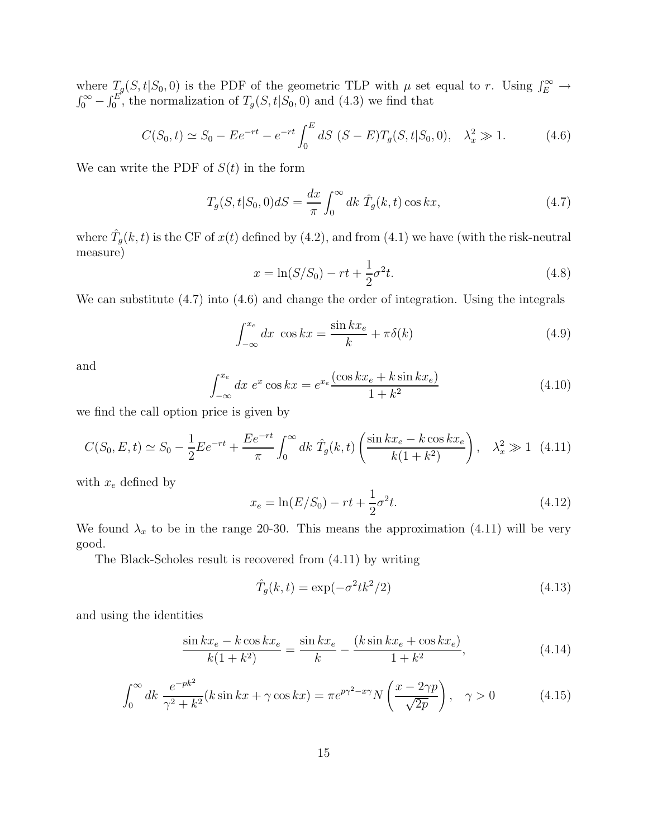where  $T_g(S, t|S_0, 0)$  is the PDF of the geometric TLP with  $\mu$  set equal to r. Using  $\int_E^{\infty}$  $\sqrt{2}$ where  $I_g(S, t|S_0, 0)$  is the PDF of the geometric TLP with  $\mu$  set equal to r. Using  $J_E \rightarrow \infty$  -  $\int_0^E$ , the normalization of  $T_g(S, t|S_0, 0)$  and (4.3) we find that

$$
C(S_0, t) \simeq S_0 - E e^{-rt} - e^{-rt} \int_0^E dS \ (S - E) T_g(S, t | S_0, 0), \quad \lambda_x^2 \gg 1. \tag{4.6}
$$

We can write the PDF of  $S(t)$  in the form

$$
T_g(S, t|S_0, 0)dS = \frac{dx}{\pi} \int_0^\infty dk \ \hat{T}_g(k, t) \cos kx,\tag{4.7}
$$

where  $\hat{T}_g(k,t)$  is the CF of  $x(t)$  defined by (4.2), and from (4.1) we have (with the risk-neutral measure)

$$
x = \ln(S/S_0) - rt + \frac{1}{2}\sigma^2 t.
$$
\n(4.8)

We can substitute (4.7) into (4.6) and change the order of integration. Using the integrals

$$
\int_{-\infty}^{x_e} dx \cos kx = \frac{\sin kx_e}{k} + \pi \delta(k)
$$
\n(4.9)

and

$$
\int_{-\infty}^{x_e} dx \ e^x \cos kx = e^{x_e} \frac{(\cos kx_e + k \sin kx_e)}{1 + k^2}
$$
 (4.10)

we find the call option price is given by

$$
C(S_0, E, t) \simeq S_0 - \frac{1}{2} E e^{-rt} + \frac{E e^{-rt}}{\pi} \int_0^\infty dk \ \hat{T}_g(k, t) \left( \frac{\sin kx_e - k \cos kx_e}{k(1 + k^2)} \right), \quad \lambda_x^2 \gg 1 \tag{4.11}
$$

with  $x_e$  defined by

$$
x_e = \ln(E/S_0) - rt + \frac{1}{2}\sigma^2 t.
$$
\n(4.12)

We found  $\lambda_x$  to be in the range 20-30. This means the approximation (4.11) will be very good.

The Black-Scholes result is recovered from (4.11) by writing

$$
\hat{T}_g(k,t) = \exp(-\sigma^2 t k^2 / 2)
$$
\n(4.13)

and using the identities

$$
\frac{\sin kx_e - k\cos kx_e}{k(1+k^2)} = \frac{\sin kx_e}{k} - \frac{(k\sin kx_e + \cos kx_e)}{1+k^2},
$$
\n(4.14)

$$
\int_0^\infty dk \, \frac{e^{-pk^2}}{\gamma^2 + k^2} (k \sin kx + \gamma \cos kx) = \pi e^{p\gamma^2 - x\gamma} N \left( \frac{x - 2\gamma p}{\sqrt{2p}} \right), \quad \gamma > 0 \tag{4.15}
$$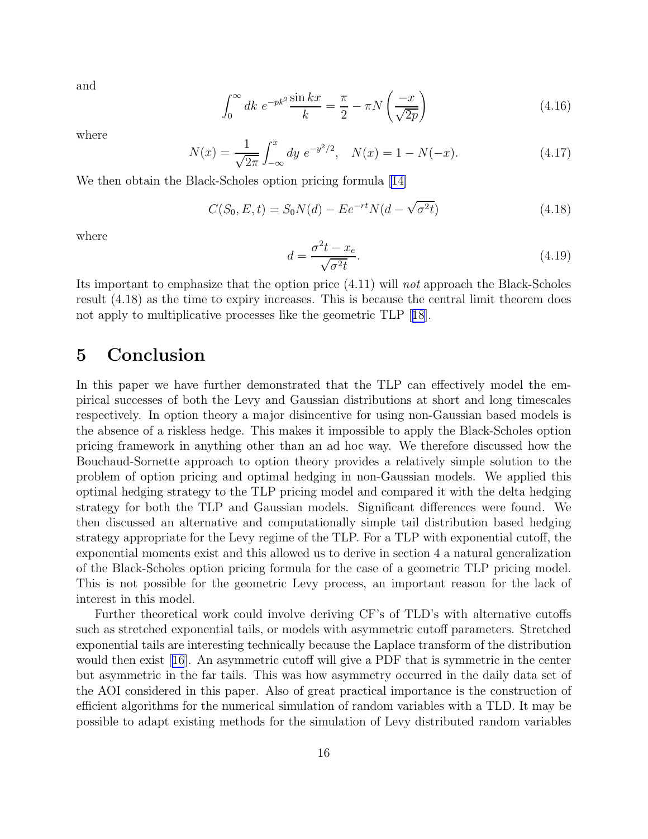and

$$
\int_0^\infty dk \ e^{-pk^2} \frac{\sin kx}{k} = \frac{\pi}{2} - \pi N \left( \frac{-x}{\sqrt{2p}} \right) \tag{4.16}
$$

where

$$
N(x) = \frac{1}{\sqrt{2\pi}} \int_{-\infty}^{x} dy \ e^{-y^2/2}, \quad N(x) = 1 - N(-x). \tag{4.17}
$$

We then obtain the Black-Scholes option pricing formula [\[14\]](#page-17-0)

$$
C(S_0, E, t) = S_0 N(d) - E e^{-rt} N(d - \sqrt{\sigma^2 t})
$$
\n(4.18)

where

$$
d = \frac{\sigma^2 t - x_e}{\sqrt{\sigma^2 t}}.\tag{4.19}
$$

Its important to emphasize that the option price (4.11) will not approach the Black-Scholes result (4.18) as the time to expiry increases. This is because the central limit theorem does not apply to multiplicative processes like the geometric TLP[[18](#page-17-0)].

### 5 Conclusion

In this paper we have further demonstrated that the TLP can effectively model the empirical successes of both the Levy and Gaussian distributions at short and long timescales respectively. In option theory a major disincentive for using non-Gaussian based models is the absence of a riskless hedge. This makes it impossible to apply the Black-Scholes option pricing framework in anything other than an ad hoc way. We therefore discussed how the Bouchaud-Sornette approach to option theory provides a relatively simple solution to the problem of option pricing and optimal hedging in non-Gaussian models. We applied this optimal hedging strategy to the TLP pricing model and compared it with the delta hedging strategy for both the TLP and Gaussian models. Significant differences were found. We then discussed an alternative and computationally simple tail distribution based hedging strategy appropriate for the Levy regime of the TLP. For a TLP with exponential cutoff, the exponential moments exist and this allowed us to derive in section 4 a natural generalization of the Black-Scholes option pricing formula for the case of a geometric TLP pricing model. This is not possible for the geometric Levy process, an important reason for the lack of interest in this model.

Further theoretical work could involve deriving CF's of TLD's with alternative cutoffs such as stretched exponential tails, or models with asymmetric cutoff parameters. Stretched exponential tails are interesting technically because the Laplace transform of the distribution would then exist[[16](#page-17-0)]. An asymmetric cutoff will give a PDF that is symmetric in the center but asymmetric in the far tails. This was how asymmetry occurred in the daily data set of the AOI considered in this paper. Also of great practical importance is the construction of efficient algorithms for the numerical simulation of random variables with a TLD. It may be possible to adapt existing methods for the simulation of Levy distributed random variables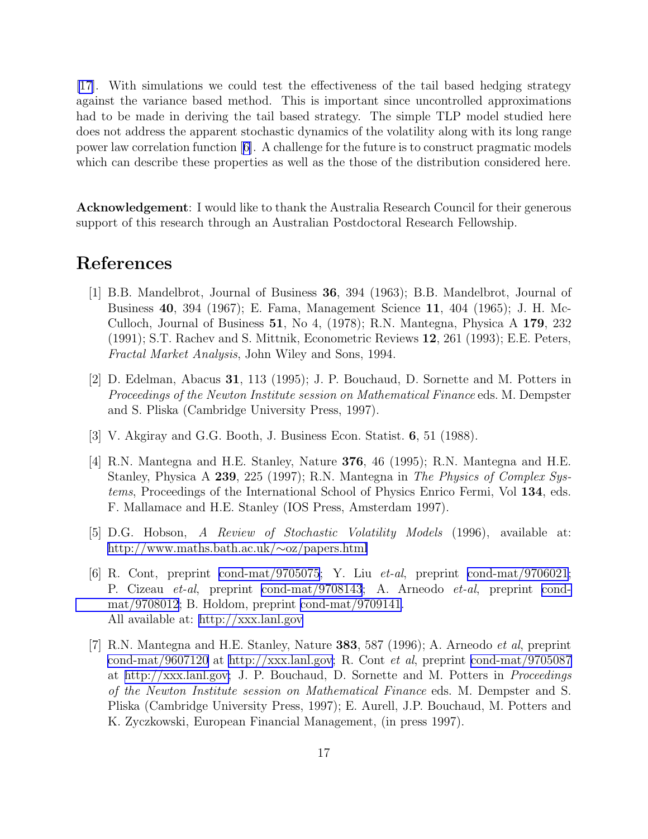<span id="page-16-0"></span>[\[17](#page-17-0)]. With simulations we could test the effectiveness of the tail based hedging strategy against the variance based method. This is important since uncontrolled approximations had to be made in deriving the tail based strategy. The simple TLP model studied here does not address the apparent stochastic dynamics of the volatility along with its long range power law correlation function [6]. A challenge for the future is to construct pragmatic models which can describe these properties as well as the those of the distribution considered here.

Acknowledgement: I would like to thank the Australia Research Council for their generous support of this research through an Australian Postdoctoral Research Fellowship.

### References

- [1] B.B. Mandelbrot, Journal of Business 36, 394 (1963); B.B. Mandelbrot, Journal of Business 40, 394 (1967); E. Fama, Management Science 11, 404 (1965); J. H. Mc-Culloch, Journal of Business 51, No 4, (1978); R.N. Mantegna, Physica A 179, 232 (1991); S.T. Rachev and S. Mittnik, Econometric Reviews 12, 261 (1993); E.E. Peters, Fractal Market Analysis, John Wiley and Sons, 1994.
- [2] D. Edelman, Abacus 31, 113 (1995); J. P. Bouchaud, D. Sornette and M. Potters in Proceedings of the Newton Institute session on Mathematical Finance eds. M. Dempster and S. Pliska (Cambridge University Press, 1997).
- [3] V. Akgiray and G.G. Booth, J. Business Econ. Statist. 6, 51 (1988).
- [4] R.N. Mantegna and H.E. Stanley, Nature 376, 46 (1995); R.N. Mantegna and H.E. Stanley, Physica A 239, 225 (1997); R.N. Mantegna in The Physics of Complex Systems, Proceedings of the International School of Physics Enrico Fermi, Vol 134, eds. F. Mallamace and H.E. Stanley (IOS Press, Amsterdam 1997).
- [5] D.G. Hobson, A Review of Stochastic Volatility Models (1996), available at: [http://www.maths.bath.ac.uk/](http://www.maths.bath.ac.uk/~oz/papers.html)∼oz/papers.html
- [6] R. Cont, preprint [cond-mat/9705075](http://arXiv.org/abs/cond-mat/9705075); Y. Liu  $et\text{-}al$ , preprint [cond-mat/9706021](http://arXiv.org/abs/cond-mat/9706021); P. Cizeau et-al, preprint [cond-mat/9708143](http://arXiv.org/abs/cond-mat/9708143); A. Arneodo et-al, preprint [cond](http://arXiv.org/abs/cond-mat/9708012)[mat/9708012](http://arXiv.org/abs/cond-mat/9708012); B. Holdom, preprint [cond-mat/9709141](http://arXiv.org/abs/cond-mat/9709141). All available at:<http://xxx.lanl.gov>
- [7] R.N. Mantegna and H.E. Stanley, Nature 383, 587 (1996); A. Arneodo et al, preprint [cond-mat/9607120](http://arXiv.org/abs/cond-mat/9607120) at<http://xxx.lanl.gov>; R. Cont *et al*, preprint [cond-mat/9705087](http://arXiv.org/abs/cond-mat/9705087) at [http://xxx.lanl.gov;](http://xxx.lanl.gov) J. P. Bouchaud, D. Sornette and M. Potters in Proceedings of the Newton Institute session on Mathematical Finance eds. M. Dempster and S. Pliska (Cambridge University Press, 1997); E. Aurell, J.P. Bouchaud, M. Potters and K. Zyczkowski, European Financial Management, (in press 1997).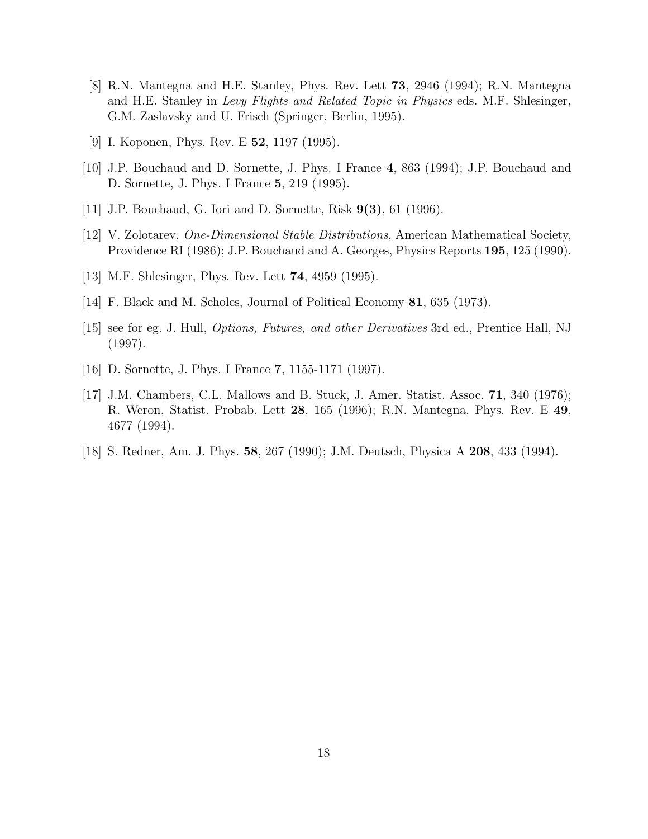- <span id="page-17-0"></span>[8] R.N. Mantegna and H.E. Stanley, Phys. Rev. Lett 73, 2946 (1994); R.N. Mantegna and H.E. Stanley in Levy Flights and Related Topic in Physics eds. M.F. Shlesinger, G.M. Zaslavsky and U. Frisch (Springer, Berlin, 1995).
- [9] I. Koponen, Phys. Rev. E **52**, 1197 (1995).
- [10] J.P. Bouchaud and D. Sornette, J. Phys. I France 4, 863 (1994); J.P. Bouchaud and D. Sornette, J. Phys. I France 5, 219 (1995).
- [11] J.P. Bouchaud, G. Iori and D. Sornette, Risk 9(3), 61 (1996).
- [12] V. Zolotarev, One-Dimensional Stable Distributions, American Mathematical Society, Providence RI (1986); J.P. Bouchaud and A. Georges, Physics Reports 195, 125 (1990).
- [13] M.F. Shlesinger, Phys. Rev. Lett 74, 4959 (1995).
- [14] F. Black and M. Scholes, Journal of Political Economy 81, 635 (1973).
- [15] see for eg. J. Hull, Options, Futures, and other Derivatives 3rd ed., Prentice Hall, NJ (1997).
- [16] D. Sornette, J. Phys. I France 7, 1155-1171 (1997).
- [17] J.M. Chambers, C.L. Mallows and B. Stuck, J. Amer. Statist. Assoc. 71, 340 (1976); R. Weron, Statist. Probab. Lett 28, 165 (1996); R.N. Mantegna, Phys. Rev. E 49, 4677 (1994).
- [18] S. Redner, Am. J. Phys. 58, 267 (1990); J.M. Deutsch, Physica A 208, 433 (1994).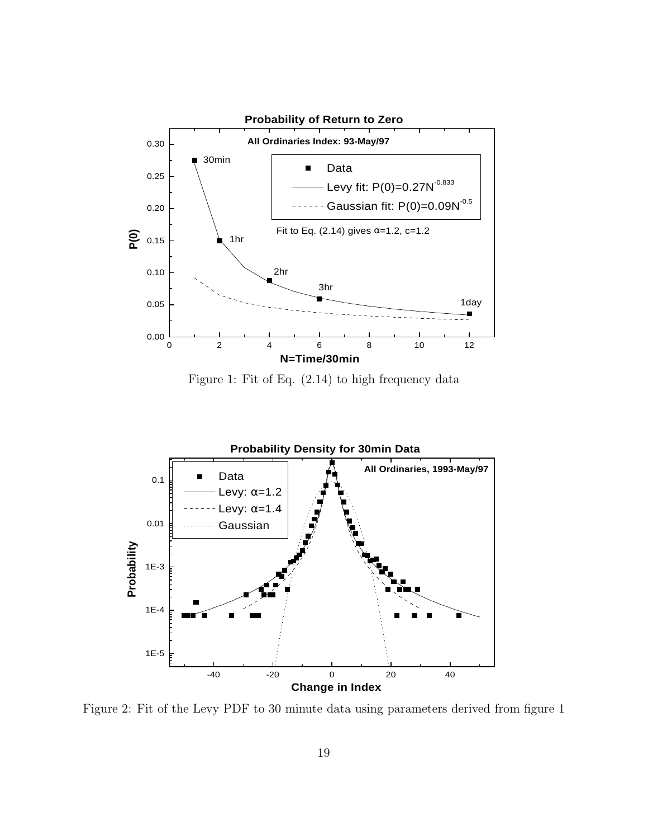

Figure 1: Fit of Eq. (2.14) to high frequency data



Figure 2: Fit of the Levy PDF to 30 minute data using parameters derived from figure 1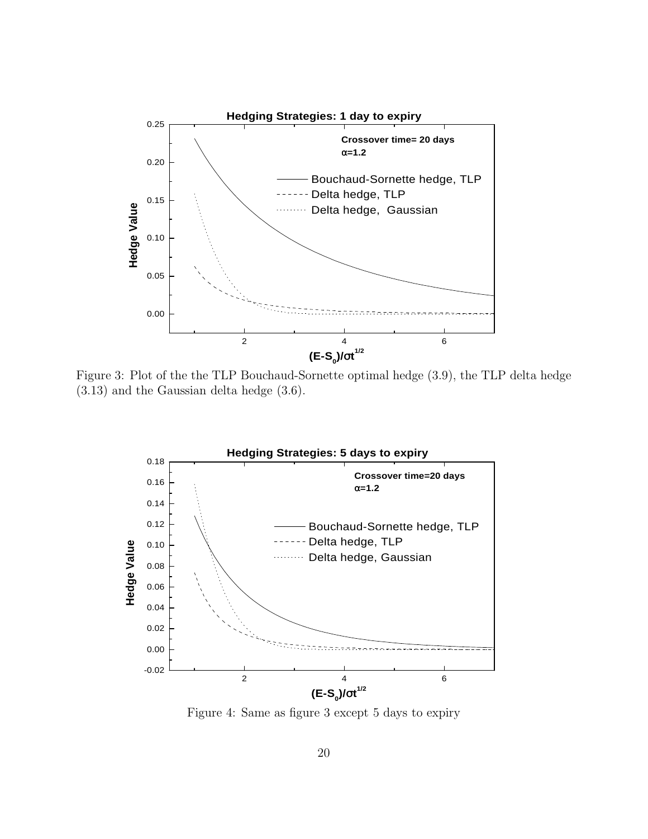

Figure 3: Plot of the the TLP Bouchaud-Sornette optimal hedge (3.9), the TLP delta hedge (3.13) and the Gaussian delta hedge (3.6).



Figure 4: Same as figure 3 except 5 days to expiry